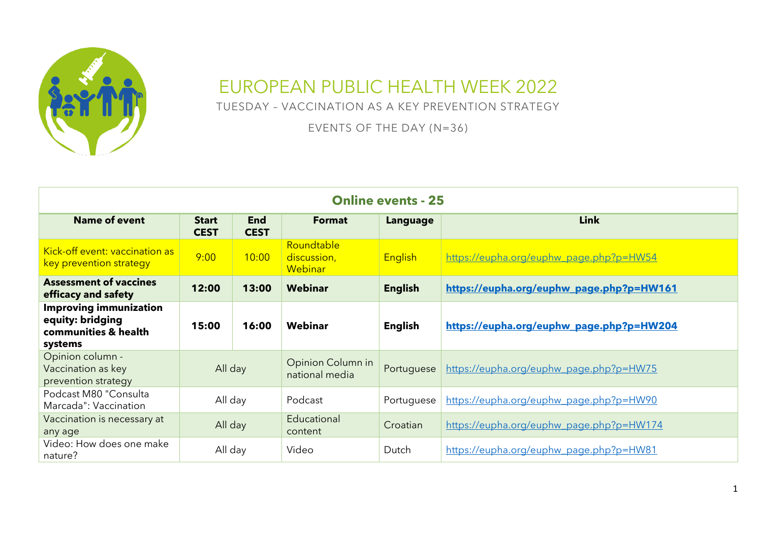

## EUROPEAN PUBLIC HEALTH WEEK 2022

TUESDAY – VACCINATION AS A KEY PREVENTION STRATEGY

EVENTS OF THE DAY (N=36)

| <b>Online events - 25</b>                                                            |                                                          |       |                                      |                 |                                          |  |  |
|--------------------------------------------------------------------------------------|----------------------------------------------------------|-------|--------------------------------------|-----------------|------------------------------------------|--|--|
| <b>Name of event</b>                                                                 | <b>End</b><br><b>Start</b><br><b>CEST</b><br><b>CEST</b> |       | <b>Format</b>                        | <b>Language</b> | <b>Link</b>                              |  |  |
| Kick-off event: vaccination as<br>key prevention strategy                            | 9:00                                                     | 10:00 | Roundtable<br>discussion,<br>Webinar | <b>English</b>  | https://eupha.org/euphw_page.php?p=HW54  |  |  |
| <b>Assessment of vaccines</b><br>efficacy and safety                                 | 12:00                                                    | 13:00 | Webinar                              | <b>English</b>  | https://eupha.org/euphw_page.php?p=HW161 |  |  |
| <b>Improving immunization</b><br>equity: bridging<br>communities & health<br>systems | 15:00                                                    | 16:00 | Webinar                              | <b>English</b>  | https://eupha.org/euphw_page.php?p=HW204 |  |  |
| Opinion column -<br>Vaccination as key<br>prevention strategy                        | All day                                                  |       | Opinion Column in<br>national media  | Portuguese      | https://eupha.org/euphw_page.php?p=HW75  |  |  |
| Podcast M80 "Consulta<br>Marcada": Vaccination                                       | All day                                                  |       | Podcast                              | Portuguese      | https://eupha.org/euphw_page.php?p=HW90  |  |  |
| Vaccination is necessary at<br>any age                                               | All day                                                  |       | Educational<br>content               | Croatian        | https://eupha.org/euphw_page.php?p=HW174 |  |  |
| Video: How does one make<br>nature?                                                  | All day                                                  |       | Video                                | Dutch           | https://eupha.org/euphw_page.php?p=HW81  |  |  |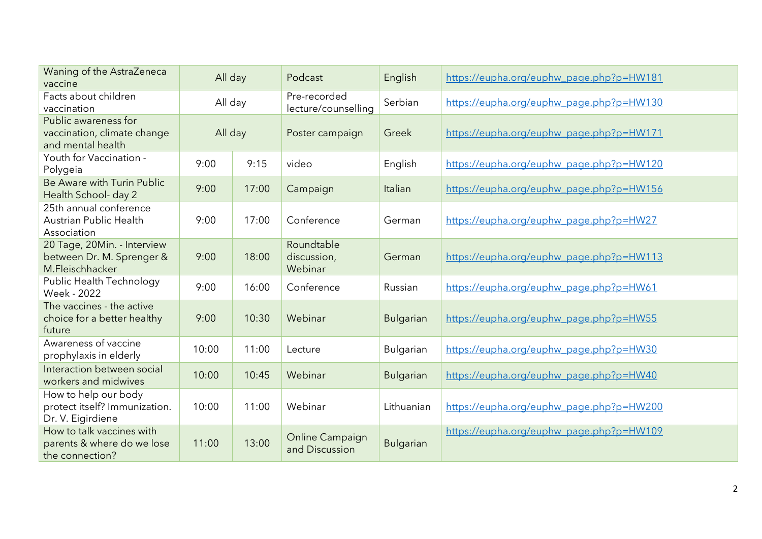| Waning of the AstraZeneca<br>vaccine                                        | All day |       | Podcast                                  | English          | https://eupha.org/euphw_page.php?p=HW181 |
|-----------------------------------------------------------------------------|---------|-------|------------------------------------------|------------------|------------------------------------------|
| Facts about children<br>vaccination                                         | All day |       | Pre-recorded<br>lecture/counselling      | Serbian          | https://eupha.org/euphw_page.php?p=HW130 |
| Public awareness for<br>vaccination, climate change<br>and mental health    | All day |       | Poster campaign                          | Greek            | https://eupha.org/euphw_page.php?p=HW171 |
| Youth for Vaccination -<br>Polygeia                                         | 9:00    | 9:15  | video                                    | English          | https://eupha.org/euphw_page.php?p=HW120 |
| Be Aware with Turin Public<br>Health School- day 2                          | 9:00    | 17:00 | Campaign                                 | Italian          | https://eupha.org/euphw_page.php?p=HW156 |
| 25th annual conference<br><b>Austrian Public Health</b><br>Association      | 9:00    | 17:00 | Conference                               | German           | https://eupha.org/euphw_page.php?p=HW27  |
| 20 Tage, 20Min. - Interview<br>between Dr. M. Sprenger &<br>M.Fleischhacker | 9:00    | 18:00 | Roundtable<br>discussion,<br>Webinar     | German           | https://eupha.org/euphw_page.php?p=HW113 |
| Public Health Technology<br>Week - 2022                                     | 9:00    | 16:00 | Conference                               | Russian          | https://eupha.org/euphw_page.php?p=HW61  |
| The vaccines - the active<br>choice for a better healthy<br>future          | 9:00    | 10:30 | Webinar                                  | <b>Bulgarian</b> | https://eupha.org/euphw_page.php?p=HW55  |
| Awareness of vaccine<br>prophylaxis in elderly                              | 10:00   | 11:00 | Lecture                                  | <b>Bulgarian</b> | https://eupha.org/euphw_page.php?p=HW30  |
| Interaction between social<br>workers and midwives                          | 10:00   | 10:45 | Webinar                                  | <b>Bulgarian</b> | https://eupha.org/euphw_page.php?p=HW40  |
| How to help our body<br>protect itself? Immunization.<br>Dr. V. Eigirdiene  | 10:00   | 11:00 | Webinar                                  | Lithuanian       | https://eupha.org/euphw_page.php?p=HW200 |
| How to talk vaccines with<br>parents & where do we lose<br>the connection?  | 11:00   | 13:00 | <b>Online Campaign</b><br>and Discussion | <b>Bulgarian</b> | https://eupha.org/euphw_page.php?p=HW109 |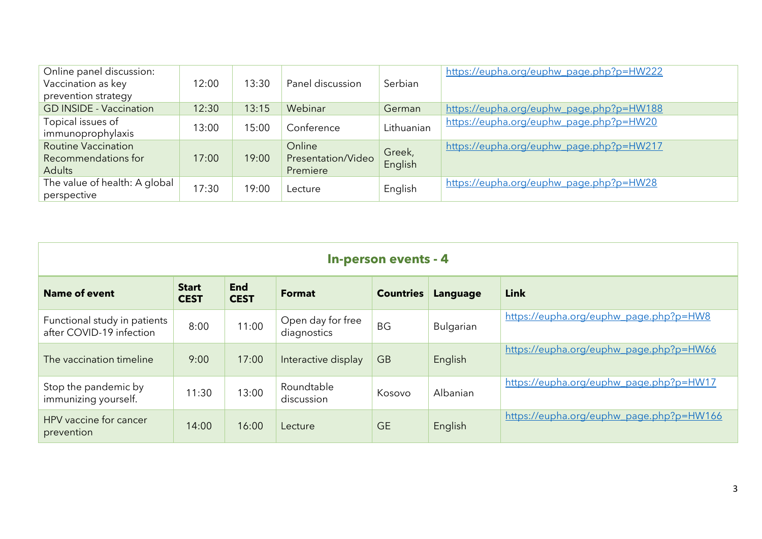| Online panel discussion:<br>Vaccination as key<br>prevention strategy | 12:00 | 13:30 | Panel discussion                         | Serbian           | https://eupha.org/euphw_page.php?p=HW222 |
|-----------------------------------------------------------------------|-------|-------|------------------------------------------|-------------------|------------------------------------------|
| <b>GD INSIDE - Vaccination</b>                                        | 12:30 | 13:15 | Webinar                                  | German            | https://eupha.org/euphw_page.php?p=HW188 |
| Topical issues of<br>immunoprophylaxis                                | 13:00 | 15:00 | Conference                               | Lithuanian        | https://eupha.org/euphw_page.php?p=HW20  |
| <b>Routine Vaccination</b><br>Recommendations for<br><b>Adults</b>    | 17:00 | 19:00 | Online<br>Presentation/Video<br>Premiere | Greek,<br>English | https://eupha.org/euphw_page.php?p=HW217 |
| The value of health: A global<br>perspective                          | 17:30 | 19:00 | Lecture                                  | English           | https://eupha.org/euphw_page.php?p=HW28  |

| <b>In-person events - 4</b>                              |                             |                           |                                  |                  |                 |                                          |  |  |
|----------------------------------------------------------|-----------------------------|---------------------------|----------------------------------|------------------|-----------------|------------------------------------------|--|--|
| <b>Name of event</b>                                     | <b>Start</b><br><b>CEST</b> | <b>End</b><br><b>CEST</b> | <b>Format</b>                    | <b>Countries</b> | <b>Language</b> | <b>Link</b>                              |  |  |
| Functional study in patients<br>after COVID-19 infection | 8:00                        | 11:00                     | Open day for free<br>diagnostics | <b>BG</b>        | Bulgarian       | https://eupha.org/euphw_page.php?p=HW8   |  |  |
| The vaccination timeline                                 | 9:00                        | 17:00                     | Interactive display              | <b>GB</b>        | English         | https://eupha.org/euphw_page.php?p=HW66  |  |  |
| Stop the pandemic by<br>immunizing yourself.             | 11:30                       | 13:00                     | Roundtable<br>discussion         | Kosovo           | Albanian        | https://eupha.org/euphw_page.php?p=HW17  |  |  |
| HPV vaccine for cancer<br>prevention                     | 14:00                       | 16:00                     | Lecture                          | <b>GE</b>        | English         | https://eupha.org/euphw_page.php?p=HW166 |  |  |